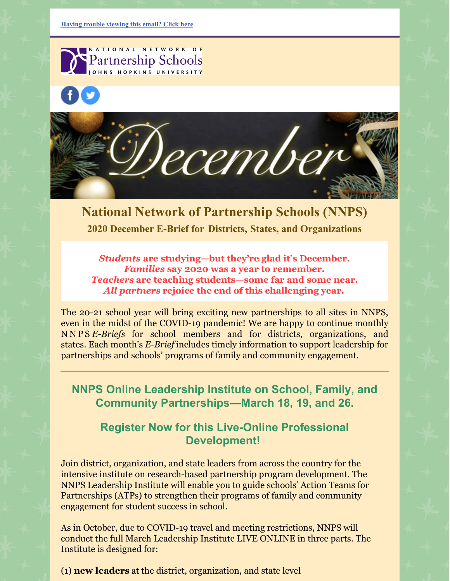NATIONAL NETWORK OF **Partnership Schools** OHNS HOPKINS UNIVERSITY





**National Network of Partnership Schools (NNPS) 2020 December E-Brief for [Districts,](https://ui.constantcontact.com/rnavmap/emcf/email/view?flow=view&camefrom=view&campaign=584f4ce7-c646-4f84-9174-5970413d58cc) States, and [Organizations](https://ui.constantcontact.com/rnavmap/emcf/email/view?flow=view&camefrom=view&campaign=584f4ce7-c646-4f84-9174-5970413d58cc)**

*Students* **are studying—but they're glad it's December.** *Families* **say 2020 was a year to remember.** *Teachers* **are teaching students—some far and some near.** *All partners* **rejoice the end of this challenging year.**

The 20-21 school year will bring exciting new partnerships to all sites in NNPS, even in the midst of the COVID-19 pandemic! We are happy to continue monthly N N P S *E-Briefs* for school members and for districts, organizations, and states. Each month's *E-Brief* includes timely information to support leadership for partnerships and schools' programs of family and community engagement.

**NNPS Online Leadership Institute on School, Family, and Community Partnerships—March 18, 19, and 26.**

## **Register Now for this Live-Online Professional Development!**

Join district, organization, and state leaders from across the country for the intensive institute on research-based partnership program development. The NNPS Leadership Institute will enable you to guide schools' Action Teams for Partnerships (ATPs) to strengthen their programs of family and community engagement for student success in school.

As in October, due to COVID-19 travel and meeting restrictions, NNPS will conduct the full March Leadership Institute LIVE ONLINE in three parts. The Institute is designed for:

(1) **new leaders** at the district, organization, and state level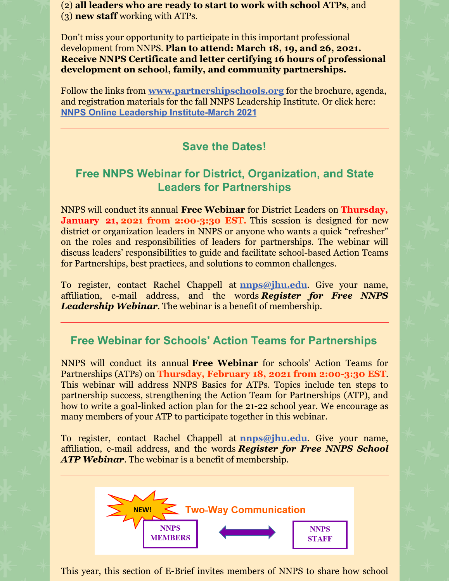(2) **all leaders who are ready to start to work with school ATPs**, and (3) **new staff** working with ATPs.

Don't miss your opportunity to participate in this important professional development from NNPS. **Plan to attend: March 18, 19, and 26, 2021. Receive NNPS Certificate and letter certifying 16 hours of professional development on school, family, and community partnerships.**

Follow the links from **[www.partnershipschools.org](https://nam02.safelinks.protection.outlook.com/?url=http%3A%2F%2Fr20.rs6.net%2Ftn.jsp%3Ff%3D001jmM6F5f21MKX6yrjbk-CO594ZBlFLaQ_oq2dtZ6gmMQnLJm1mm6iNrFCmR7ktPyw0tS1YHKuDGvxVWDn_yTjZPUFVeVvTFMZO1QqeIdiODvM_tO0yD2rQk8-W15LtcwglfxeFOydn_nHBGgGrjAPVFXVH7YLpQ5L%26c%3D8D3tTFiNOaRgk3T0YanRHIZhUWgtUNnGmnaGJYn75-HIkMkTX6AR9w%3D%3D%26ch%3D7A5vguxgjEL7ydZ58T_HIFvr8t_jxgEtQkcF4Qw2hSKtqubl_JeC4Q%3D%3D&data=02%7C01%7Cjepstein%40jhu.edu%7C0c0a108576a741c187a108d85a6a8b4b%7C9fa4f438b1e6473b803f86f8aedf0dec%7C0%7C0%7C637358760934365016&sdata=yo4kvI5gWNjSUpHpxQ4yIHdmrbSxHUenqaZcXjekLbU%3D&reserved=0)** for the brochure, agenda, and registration materials for the fall NNPS Leadership Institute. Or click here: **NNPS Online Leadership [Institute-March](http://nnps.jhucsos.com/wp-content/uploads/2020/11/March-BROCHURE-for-website-Nov-9.pdf) 2021**

## **Save the Dates!**

## **Free NNPS Webinar for District, Organization, and State Leaders for Partnerships**

NNPS will conduct its annual **Free Webinar** for District Leaders on **Thursday, January 21, 2021 from 2:00-3:30 EST.** This session is designed for new district or organization leaders in NNPS or anyone who wants a quick "refresher" on the roles and responsibilities of leaders for partnerships. The webinar will discuss leaders' responsibilities to guide and facilitate school-based Action Teams for Partnerships, best practices, and solutions to common challenges.

To register, contact Rachel Chappell at **[nnps@jhu.edu](mailto:nnps@jhu.edu)**. Give your name, affiliation, e-mail address, and the words *Register for Free NNPS Leadership Webinar*. The webinar is a benefit of membership.

## **Free Webinar for Schools' Action Teams for Partnerships**

NNPS will conduct its annual **Free Webinar** for schools' Action Teams for Partnerships (ATPs) on **Thursday, February 18, 2021 from 2:00-3:30 EST**. This webinar will address NNPS Basics for ATPs. Topics include ten steps to partnership success, strengthening the Action Team for Partnerships (ATP), and how to write a goal-linked action plan for the 21-22 school year. We encourage as many members of your ATP to participate together in this webinar.

To register, contact Rachel Chappell at **[nnps@jhu.edu](mailto:nnps@jhu.edu)**. Give your name, affiliation, e-mail address, and the words *Register for Free NNPS School ATP Webinar*. The webinar is a benefit of membership.



This year, this section of E-Brief invites members of NNPS to share how school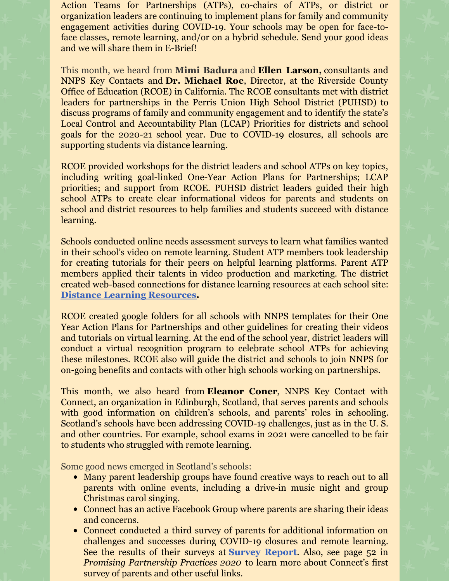Action Teams for Partnerships (ATPs), co-chairs of ATPs, or district or organization leaders are continuing to implement plans for family and community engagement activities during COVID-19. Your schools may be open for face-toface classes, remote learning, and/or on a hybrid schedule. Send your good ideas and we will share them in E-Brief!

This month, we heard from **Mimi Badura** and **Ellen Larson,** consultants and NNPS Key Contacts and **Dr. Michael Roe**, Director, at the Riverside County Office of Education (RCOE) in California. The RCOE consultants met with district leaders for partnerships in the Perris Union High School District (PUHSD) to discuss programs of family and community engagement and to identify the state's Local Control and Accountability Plan (LCAP) Priorities for districts and school goals for the 2020-21 school year. Due to COVID-19 closures, all schools are supporting students via distance learning.

RCOE provided workshops for the district leaders and school ATPs on key topics, including writing goal-linked One-Year Action Plans for Partnerships; LCAP priorities; and support from RCOE. PUHSD district leaders guided their high school ATPs to create clear informational videos for parents and students on school and district resources to help families and students succeed with distance learning.

Schools conducted online needs assessment surveys to learn what families wanted in their school's video on remote learning. Student ATP members took leadership for creating tutorials for their peers on helpful learning platforms. Parent ATP members applied their talents in video production and marketing. The district created web-based connections for distance learning resources at each school site: **Distance Learning [Resources](https://sites.google.com/puhsd.org/distancelearning/home?authuser=0).**

RCOE created google folders for all schools with NNPS templates for their One Year Action Plans for Partnerships and other guidelines for creating their videos and tutorials on virtual learning. At the end of the school year, district leaders will conduct a virtual recognition program to celebrate school ATPs for achieving these milestones. RCOE also will guide the district and schools to join NNPS for on-going benefits and contacts with other high schools working on partnerships.

This month, we also heard from **Eleanor Coner**, NNPS Key Contact with Connect, an organization in Edinburgh, Scotland, that serves parents and schools with good information on children's schools, and parents' roles in schooling. Scotland's schools have been addressing COVID-19 challenges, just as in the U. S. and other countries. For example, school exams in 2021 were cancelled to be fair to students who struggled with remote learning.

Some good news emerged in Scotland's schools:

- Many parent leadership groups have found creative ways to reach out to all parents with online events, including a drive-in music night and group Christmas carol singing.
- Connect has an active Facebook Group where parents are sharing their ideas and concerns.
- Connect conducted a third survey of parents for additional information on challenges and successes during COVID-19 closures and remote learning. See the results of their surveys at **[Survey](https://connect.scot/news/connects-parentcarer-back-school-survey-report-out-now) Report**. Also, see page 52 in *Promising Partnership Practices 2020* to learn more about Connect's first survey of parents and other useful links.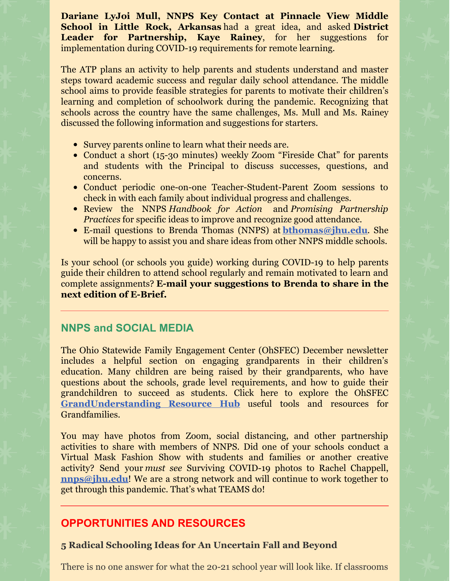**Dariane LyJoi Mull, NNPS Key Contact at Pinnacle View Middle School in Little Rock, Arkansas** had a great idea, and asked **District Leader for Partnership, Kaye Rainey**, for her suggestions for implementation during COVID-19 requirements for remote learning.

The ATP plans an activity to help parents and students understand and master steps toward academic success and regular daily school attendance. The middle school aims to provide feasible strategies for parents to motivate their children's learning and completion of schoolwork during the pandemic. Recognizing that schools across the country have the same challenges, Ms. Mull and Ms. Rainey discussed the following information and suggestions for starters.

- Survey parents online to learn what their needs are.
- Conduct a short (15-30 minutes) weekly Zoom "Fireside Chat" for parents and students with the Principal to discuss successes, questions, and concerns.
- Conduct periodic one-on-one Teacher-Student-Parent Zoom sessions to check in with each family about individual progress and challenges.
- Review the NNPS *Handbook for Action* and *Promising Partnership Practices* for specific ideas to improve and recognize good attendance.
- E-mail questions to Brenda Thomas (NNPS) at **[bthomas@jhu.edu](mailto:bthomas@jhu.edu)**. She will be happy to assist you and share ideas from other NNPS middle schools.

Is your school (or schools you guide) working during COVID-19 to help parents guide their children to attend school regularly and remain motivated to learn and complete assignments? **E-mail your suggestions to Brenda to share in the next edition of E-Brief.**

## **NNPS and SOCIAL MEDIA**

The Ohio Statewide Family Engagement Center (OhSFEC) December newsletter includes a helpful section on engaging grandparents in their children's education. Many children are being raised by their grandparents, who have questions about the schools, grade level requirements, and how to guide their grandchildren to succeed as students. Click here to explore the OhSFEC **[GrandUnderstanding](https://ohiofamiliesengage.osu.edu/grandunderstandings/) [Resource](https://ohiofamiliesengage.osu.edu/grandunderstandings/) Hub** useful tools and resources for Grandfamilies.

You may have photos from Zoom, social distancing, and other partnership activities to share with members of NNPS. Did one of your schools conduct a Virtual Mask Fashion Show with students and families or another creative activity? Send your *must see* Surviving COVID-19 photos to Rachel Chappell, **[nnps@jhu.edu](mailto:nnps@jhu.edu)!** We are a strong network and will continue to work together to get through this pandemic. That's what TEAMS do!

## **OPPORTUNITIES AND RESOURCES**

### **5 Radical Schooling Ideas for An Uncertain Fall and Beyond**

There is no one answer for what the 20-21 school year will look like. If classrooms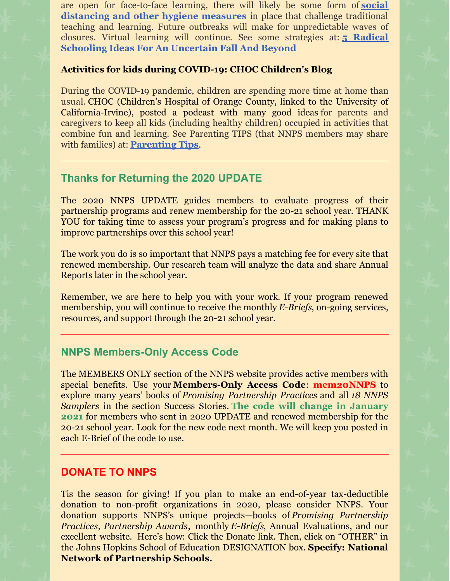are open for face-to-face learning, there will likely be some form of **social [distancing](https://www.npr.org/2020/04/24/842528906/what-it-might-look-like-to-safely-reopen-schools) and other hygiene measures** in place that challenge traditional teaching and learning. Future outbreaks will make for unpredictable waves of closures. Virtual learning will continue. See some strategies at: **5 Radical Schooling Ideas For An [Uncertain](https://www.npr.org/2020/06/17/878205853/5-radical-schooling-ideas-for-an-uncertain-fall-and-beyond) Fall And Beyond**

#### **Activities for kids during [COVID-19:](https://blog.chocchildrens.org/activity-ideas-for-kids-during-covid-19/) CHOC Children's Blog**

During the COVID-19 pandemic, children are spending more time at home than usual. CHOC (Children's Hospital of Orange County, linked to the University of California-Irvine), posted a podcast with many good ideas for parents and caregivers to keep all kids (including healthy children) occupied in activities that combine fun and learning. See Parenting TIPS (that NNPS members may share with families) at: **[Parenting](https://blog.chocchildrens.org/activity-ideas-for-kids-during-covid-19/) Tips**.

### **Thanks for Returning the 2020 UPDATE**

The 2020 NNPS UPDATE guides members to evaluate progress of their partnership programs and renew membership for the 20-21 school year. THANK YOU for taking time to assess your program's progress and for making plans to improve partnerships over this school year!

The work you do is so important that NNPS pays a matching fee for every site that renewed membership. Our research team will analyze the data and share Annual Reports later in the school year.

Remember, we are here to help you with your work. If your program renewed membership, you will continue to receive the monthly *E-Briefs*, on-going services, resources, and support through the 20-21 school year.

### **NNPS Members-Only Access Code**

The MEMBERS ONLY section of the NNPS website provides active members with special benefits. Use your **Members-Only Access Code**: **mem20NNPS** to explore many years' books of *Promising Partnership Practices* and all *18 NNPS Samplers* in the section Success Stories. **The code will change in January 2021** for members who sent in 2020 UPDATE and renewed membership for the 20-21 school year. Look for the new code next month. We will keep you posted in each E-Brief of the code to use.

### **DONATE TO NNPS**

Tis the season for giving! If you plan to make an end-of-year tax-deductible donation to non-profit organizations in 2020, please consider NNPS. Your donation supports NNPS's unique projects—books of *Promising Partnership Practices*, *Partnership Awards*, monthly *E-Briefs*, Annual Evaluations, and our excellent website. Here's how: Click the Donate link. Then, click on "OTHER" in the Johns Hopkins School of Education DESIGNATION box. **Specify: National Network of Partnership Schools.**